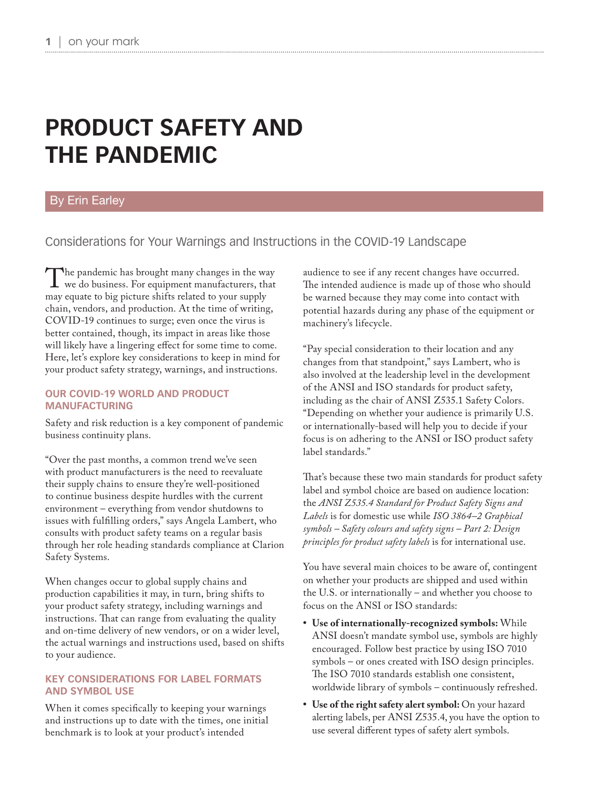# **PRODUCT SAFETY AND THE PANDEMIC**

## By Erin Earley

Considerations for Your Warnings and Instructions in the COVID-19 Landscape

The pandemic has brought many changes in the way<br>we do business. For equipment manufacturers, that<br>may equate to big picture shifts related to your supply may equate to big picture shifts related to your supply chain, vendors, and production. At the time of writing, COVID-19 continues to surge; even once the virus is better contained, though, its impact in areas like those will likely have a lingering effect for some time to come. Here, let's explore key considerations to keep in mind for your product safety strategy, warnings, and instructions.

#### **OUR COVID-19 WORLD AND PRODUCT MANUFACTURING**

Safety and risk reduction is a key component of pandemic business continuity plans.

"Over the past months, a common trend we've seen with product manufacturers is the need to reevaluate their supply chains to ensure they're well-positioned to continue business despite hurdles with the current environment – everything from vendor shutdowns to issues with fulfilling orders," says Angela Lambert, who consults with product safety teams on a regular basis through her role heading standards compliance at Clarion Safety Systems.

When changes occur to global supply chains and production capabilities it may, in turn, bring shifts to your product safety strategy, including warnings and instructions. That can range from evaluating the quality and on-time delivery of new vendors, or on a wider level, the actual warnings and instructions used, based on shifts to your audience.

#### **KEY CONSIDERATIONS FOR LABEL FORMATS AND SYMBOL USE**

When it comes specifically to keeping your warnings and instructions up to date with the times, one initial benchmark is to look at your product's intended

audience to see if any recent changes have occurred. The intended audience is made up of those who should be warned because they may come into contact with potential hazards during any phase of the equipment or machinery's lifecycle.

"Pay special consideration to their location and any changes from that standpoint," says Lambert, who is also involved at the leadership level in the development of the ANSI and ISO standards for product safety, including as the chair of ANSI Z535.1 Safety Colors. "Depending on whether your audience is primarily U.S. or internationally-based will help you to decide if your focus is on adhering to the ANSI or ISO product safety label standards."

That's because these two main standards for product safety label and symbol choice are based on audience location: the *ANSI Z535.4 Standard for Product Safety Signs and Labels* is for domestic use while *ISO 3864–2 Graphical symbols – Safety colours and safety signs – Part 2: Design principles for product safety labels* is for international use.

You have several main choices to be aware of, contingent on whether your products are shipped and used within the U.S. or internationally – and whether you choose to focus on the ANSI or ISO standards:

- **• Use of internationally-recognized symbols:** While ANSI doesn't mandate symbol use, symbols are highly encouraged. Follow best practice by using ISO 7010 symbols – or ones created with ISO design principles. The ISO 7010 standards establish one consistent, worldwide library of symbols – continuously refreshed.
- **• Use of the right safety alert symbol:** On your hazard alerting labels, per ANSI Z535.4, you have the option to use several different types of safety alert symbols.